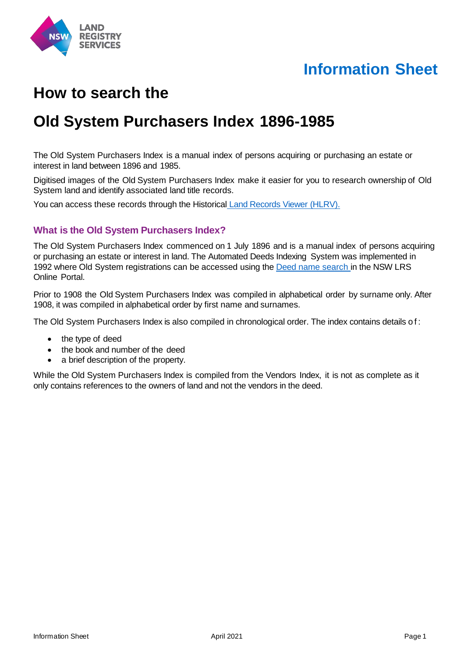

# **Information Sheet**

# **How to search the**

## **Old System Purchasers Index 1896-1985**

The Old System Purchasers Index is a manual index of persons acquiring or purchasing an estate or interest in land between 1896 and 1985.

Digitised images of the Old System Purchasers Index make it easier for you to research ownership of Old System land and identify associated land title records.

You can access these records through the Historical Land Records Viewer (HLRV).

#### **What is the Old System Purchasers Index?**

The Old System Purchasers Index commenced on 1 July 1896 and is a manual index of persons acquiring or purchasing an estate or interest in land. The Automated Deeds Indexing System was implemented in 1992 where Old System registrations can be accessed using th[e Deed name search i](https://online.nswlrs.com.au/wps/portal/six/find-records/!ut/p/z1/04_Sj9CPykssy0xPLMnMz0vMAfIjo8ziLQMMLQydLIy8DAwtLAwcvQOdTIKM3AwNLMz0w8EKnN0dPUzMfQwMDEwsjAw8XZw8XMwtfQ0MPM30o4jRj0cBSL8BDuBoANQfBVaCzwWEzAj0yU9PT03xLy3RL8gNjTDIMlEEAKO33fU!/)n the NSW LRS Online Portal.

Prior to 1908 the Old System Purchasers Index was compiled in alphabetical order by surname only. After 1908, it was compiled in alphabetical order by first name and surnames.

The Old System Purchasers Index is also compiled in chronological order. The index contains details of:

- the type of deed
- the book and number of the deed
- a brief description of the property.

While the Old System Purchasers Index is compiled from the Vendors Index, it is not as complete as it only contains references to the owners of land and not the vendors in the deed.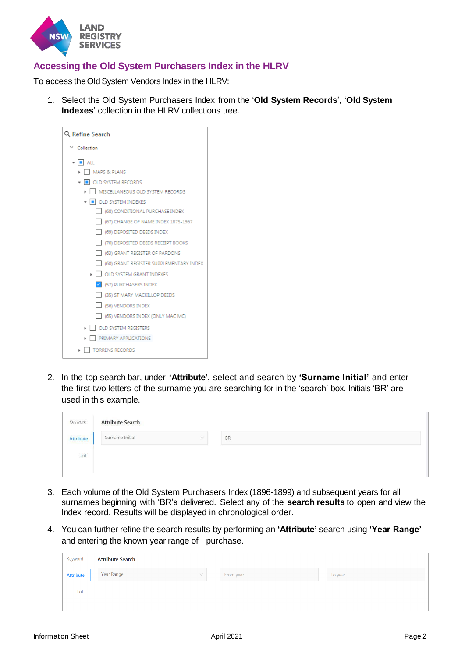

## **Accessing the Old System Purchasers Index in the HLRV**

To access the Old System Vendors Index in the HLRV:

1. Select the Old System Purchasers Index from the '**Old System Records**', '**Old System Indexes**' collection in the HLRV collections tree.

| Q Refine Search                         |
|-----------------------------------------|
| ∨ Collection                            |
| $\bullet$ $\blacksquare$ ALL            |
| MAPS & PLANS                            |
| • <b>I</b> OLD SYSTEM RECORDS           |
| ▶ │ │ MISCELLANEOUS OLD SYSTEM RECORDS  |
| • • OLD SYSTEM INDEXES                  |
| (68) CONDITIONAL PURCHASE INDEX         |
| (67) CHANGE OF NAME INDEX 1875-1967     |
| (69) DEPOSITED DEEDS INDEX              |
| (70) DEPOSITED DEEDS RECEIPT BOOKS      |
| (63) GRANT REGISTER OF PARDONS          |
| (60) GRANT REGISTER SUPPLEMENTARY INDEX |
| I OLD SYSTEM GRANT INDEXES              |
| V (57) PURCHASERS INDEX                 |
| (35) ST MARY MACKILLOP DEEDS            |
| (56) VENDORS INDEX                      |
| (65) VENDORS INDEX (ONLY MAC MC)        |
| OLD SYSTEM REGISTERS                    |
| PRIMARY APPLICATIONS                    |
| <b>TORRENS RECORDS</b>                  |

2. In the top search bar, under **'Attribute',** select and search by **'Surname Initial'** and enter the first two letters of the surname you are searching for in the 'search' box. Initials 'BR' are used in this example.

| Keyword   | <b>Attribute Search</b> |           |
|-----------|-------------------------|-----------|
| Attribute | Surname Initial         | <b>BR</b> |
| Lot       |                         |           |
|           |                         |           |

- 3. Each volume of the Old System Purchasers Index (1896-1899) and subsequent years for all surnames beginning with 'BR's delivered. Select any of the **search results** to open and view the Index record. Results will be displayed in chronological order.
- 4. You can further refine the search results by performing an **'Attribute'** search using **'Year Range'** and entering the known year range of purchase.

| Keyword          | <b>Attribute Search</b> |  |           |  |         |  |  |  |
|------------------|-------------------------|--|-----------|--|---------|--|--|--|
| <b>Attribute</b> | Year Range<br>$\sqrt{}$ |  | From year |  | To year |  |  |  |
| Lot              |                         |  |           |  |         |  |  |  |
|                  |                         |  |           |  |         |  |  |  |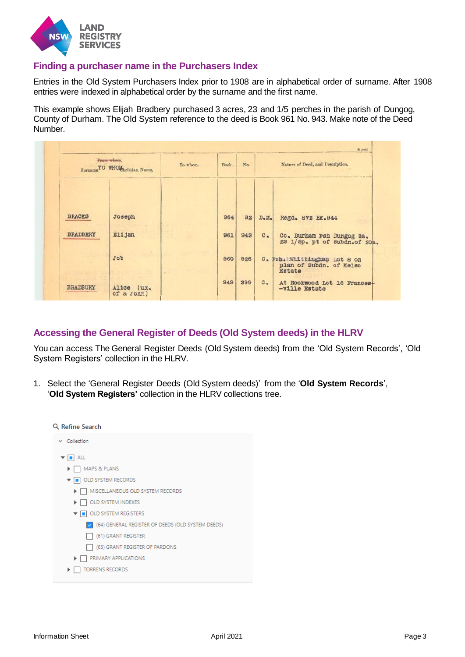

### **Finding a purchaser name in the Purchasers Index**

Entries in the Old System Purchasers Index prior to 1908 are in alphabetical order of surname. After 1908 entries were indexed in alphabetical order by the surname and the first name.

This example shows Elijah Bradbery purchased 3 acres, 23 and 1/5 perches in the parish of Dungog, County of Durham. The Old System reference to the deed is Book 961 No. 943. Make note of the Deed Number.

|                 | From whom.<br>Surname <sup>TO</sup> WHOM <sub>bristian</sub> Name. | To whom. | Book. | $N_{\Omega}$ |                               | Nature of Deed, and Description.                                         |
|-----------------|--------------------------------------------------------------------|----------|-------|--------------|-------------------------------|--------------------------------------------------------------------------|
| <b>BRACKS</b>   | Joseph                                                             |          | 964   | 32           | D <sub>o</sub> M <sub>o</sub> | Regd. 872 Bk. 944                                                        |
| BRADBERY        | Elijah                                                             |          | 961   | 943          | $c_{\bullet}$                 | Co. Durham Psh Dungog 3a.<br>23 1/5p. pt of Subdn.of 20a.                |
|                 | Job                                                                |          | 960   | 926          |                               | C. Psh. Whittingham Lot 8 on<br>plan of Subdn. of Kelso<br><b>Estate</b> |
| <b>BRADBURY</b> | Alice (ux.                                                         |          | 949   | 399          | $C_{\bullet}$                 | At Rookwood Lot 16 Frances-<br>-ville Estate                             |

## **Accessing the General Register of Deeds (Old System deeds) in the HLRV**

You can access The General Register Deeds (Old System deeds) from the 'Old System Records', 'Old System Registers' collection in the HLRV.

1. Select the 'General Register Deeds (Old System deeds)' from the '**Old System Records**', '**Old System Registers'** collection in the HLRV collections tree.

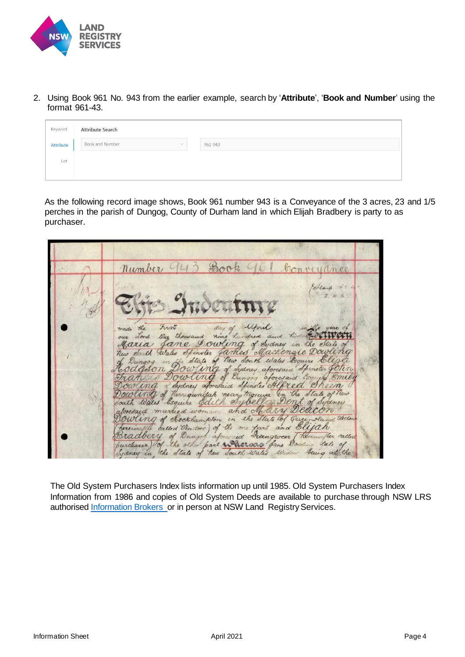

2. Using Book 961 No. 943 from the earlier example, search by '**Attribute**', '**Book and Number**' using the format 961-43.

| Keyword          | <b>Attribute Search</b> |         |  |  |  |  |
|------------------|-------------------------|---------|--|--|--|--|
| <b>Attribute</b> | Book and Number<br>v    | 961-943 |  |  |  |  |
| Lot              |                         |         |  |  |  |  |
|                  |                         |         |  |  |  |  |

As the following record image shows, Book 961 number 943 is a Conveyance of the 3 acres, 23 and 1/5 perches in the parish of Dungog, County of Durham land in which Elijah Bradbery is party to as purchaser.

| Number 943 Book 961 Conveyance                                                                                                                                                                                                                                                                                                                                                                                                                                                                                                                                                                                                                                                                                                                                                                                             |  |
|----------------------------------------------------------------------------------------------------------------------------------------------------------------------------------------------------------------------------------------------------------------------------------------------------------------------------------------------------------------------------------------------------------------------------------------------------------------------------------------------------------------------------------------------------------------------------------------------------------------------------------------------------------------------------------------------------------------------------------------------------------------------------------------------------------------------------|--|
| Elang to<br>2.4h<br>Elijs Indeuture<br>made the First day of April in the year of<br>our dord they thousand nine hundred and hold all with<br>Maria Jane Dowling of Sydney in the State of<br>New South Wales Spinoler James Mackengie Dowling<br>of Dungog in the State of New South Wales Esquire Elight<br>Hodgson Dowling of Sydney aforesaid Spinster John<br>Francis Dowling of Dungog aforesaid Esquire Emily<br>Dowling of Sydney aforestied opinites Alfred Sheen<br>Dowling of There gundah neary thorupa in the State of New<br>South Wales Esquire Edith Sybella Dent of Sydney<br>alonesaid married woman and Mary Deacon<br>Dowling of Jockhampton in the State of Queensland Widow<br>(hereinally called Veudors) of the one part and Ellyah<br>Bradbery of Dungos aforesid Treingrocer [ hereinster called |  |
| purchases) of the other part where same Dowling late of<br>Sydney in the State of hew South Water Widow being at the                                                                                                                                                                                                                                                                                                                                                                                                                                                                                                                                                                                                                                                                                                       |  |

The Old System Purchasers Index lists information up until 1985. Old System Purchasers Index Information from 1986 and copies of Old System Deeds are available to purchase through NSW LRS authorised [Information Brokers](https://www.nswlrs.com.au/Information-Brokers) or in person at NSW Land Registry Services.